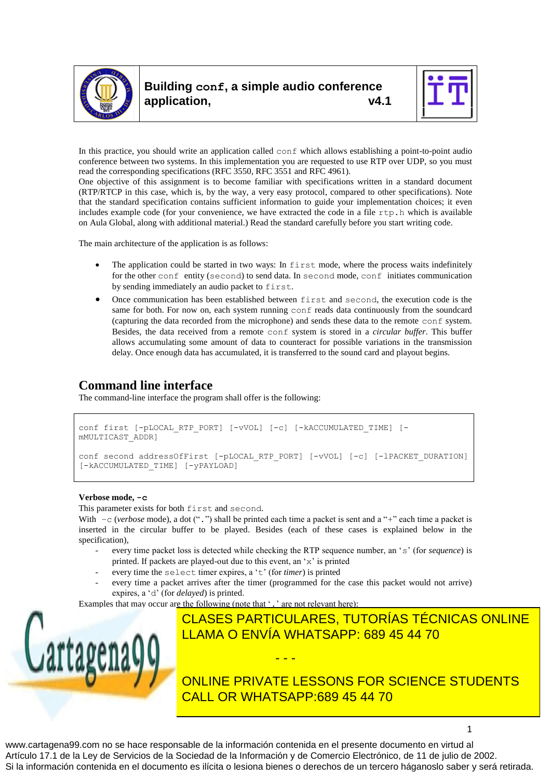



In this practice, you should write an application called conf which allows establishing a point-to-point audio conference between two systems. In this implementation you are requested to use RTP over UDP, so you must read the corresponding specifications (RFC 3550, RFC 3551 and RFC 4961).

One objective of this assignment is to become familiar with specifications written in a standard document (RTP/RTCP in this case, which is, by the way, a very easy protocol, compared to other specifications). Note that the standard specification contains sufficient information to guide your implementation choices; it even includes example code (for your convenience, we have extracted the code in a file  $rtp$ . h which is available on Aula Global, along with additional material.) Read the standard carefully before you start writing code.

The main architecture of the application is as follows:

- The application could be started in two ways: In first mode, where the process waits indefinitely for the other conf entity (second) to send data. In second mode, conf initiates communication by sending immediately an audio packet to first.
- Once communication has been established between first and second, the execution code is the same for both. For now on, each system running conf reads data continuously from the soundcard (capturing the data recorded from the microphone) and sends these data to the remote conf system. Besides, the data received from a remote conf system is stored in a *circular buffer*. This buffer allows accumulating some amount of data to counteract for possible variations in the transmission delay. Once enough data has accumulated, it is transferred to the sound card and playout begins.

# **Command line interface**

The command-line interface the program shall offer is the following:

```
conf first [-pLOCAL_RTP_PORT] [-vVOL] [-c] [-kACCUMULATED_TIME] [-
mMULTICAST_ADDR]
conf second addressOfFirst [-pLOCAL_RTP_PORT] [-vVOL] [-c] [-lPACKET_DURATION] 
[-kACCUMULATED_TIME] [-yPAYLOAD]
```
## **Verbose mode, -c**

This parameter exists for both first and second.

With  $-c$  (*verbose* mode), a dot (".") shall be printed each time a packet is sent and a "+" each time a packet is inserted in the circular buffer to be played. Besides (each of these cases is explained below in the specification),

- every time packet loss is detected while checking the RTP sequence number, an 's' (for *sequence*) is printed. If packets are played-out due to this event, an 'x' is printed
- every time the select timer expires, a 't' (for *timer*) is printed
- every time a packet arrives after the timer (programmed for the case this packet would not arrive) expires, a 'd' (for *delayed*) is printed.

Examples that may occur are the following (note that '.' are not relevant here):



CLASES PARTICULARES, TUTORÍAS TÉCNICAS ONLINE s indicates there are missing packets before number 14 was received; x stands for packets number 12, other x for packet 13, then + indicates that 14 is appropriately played LLAMA O ENVÍA WHATSAPP: 689 45 44 70 - - -

1

**Packet 12 Packet 12 Packet 12 arriver for 12 arrives on the 12 arrives on the 12 arrives on the 12 arrives on times: 13 arrives on the 12 arrives on times: '+.t.de\' (document) discrep in the 12 arrives on times: 13 arriv CALL OR WHATSAPP:689 45 44 70**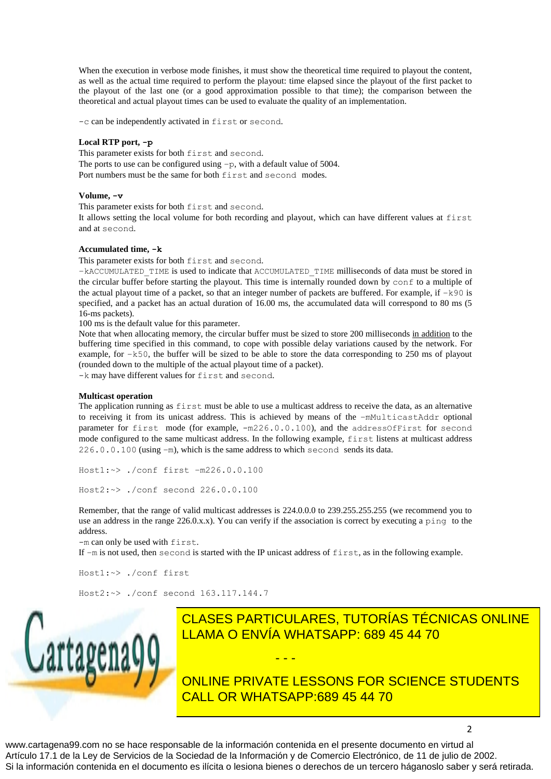When the execution in verbose mode finishes, it must show the theoretical time required to playout the content, as well as the actual time required to perform the playout: time elapsed since the playout of the first packet to the playout of the last one (or a good approximation possible to that time); the comparison between the theoretical and actual playout times can be used to evaluate the quality of an implementation.

-c can be independently activated in first or second.

#### **Local RTP port, -p**

This parameter exists for both first and second. The ports to use can be configured using  $-p$ , with a default value of 5004. Port numbers must be the same for both first and second modes.

### **Volume, -v**

This parameter exists for both first and second.

It allows setting the local volume for both recording and playout, which can have different values at first and at second.

#### **Accumulated time, -k**

This parameter exists for both first and second.

–kACCUMULATED\_TIME is used to indicate that ACCUMULATED\_TIME milliseconds of data must be stored in the circular buffer before starting the playout. This time is internally rounded down by conf to a multiple of the actual playout time of a packet, so that an integer number of packets are buffered. For example, if  $-k90$  is specified, and a packet has an actual duration of 16.00 ms, the accumulated data will correspond to 80 ms (5) 16-ms packets).

100 ms is the default value for this parameter.

Note that when allocating memory, the circular buffer must be sized to store 200 milliseconds in addition to the buffering time specified in this command, to cope with possible delay variations caused by the network. For example, for –k50, the buffer will be sized to be able to store the data corresponding to 250 ms of playout (rounded down to the multiple of the actual playout time of a packet).

-k may have different values for first and second.

#### **Multicast operation**

The application running as first must be able to use a multicast address to receive the data, as an alternative to receiving it from its unicast address. This is achieved by means of the -mMulticastAddr optional parameter for first mode (for example, -m226.0.0.100), and the addressOfFirst for second mode configured to the same multicast address. In the following example, first listens at multicast address 226.0.0.100 (using –m), which is the same address to which second sends its data.

Host1:~> ./conf first –m226.0.0.100

Host2:~> ./conf second 226.0.0.100

Remember, that the range of valid multicast addresses is 224.0.0.0 to 239.255.255.255 (we recommend you to use an address in the range 226.0.x.x). You can verify if the association is correct by executing a ping to the address.

-m can only be used with first.

If –m is not used, then second is started with the IP unicast address of first, as in the following example.

- - -

Host1:~> ./conf first

Host2:~> ./conf second 163.117.144.7



CLASES PARTICULARES, TUTORÍAS TÉCNICAS ONLINE The oriental in milliseconducture in milliseconducture of the data being careried by a set of the data being c

> ONLINE PRIVATE LESSONS FOR SCIENCE STUDENTS CALL OR WHATSAPP:689 45 44 70

> > 2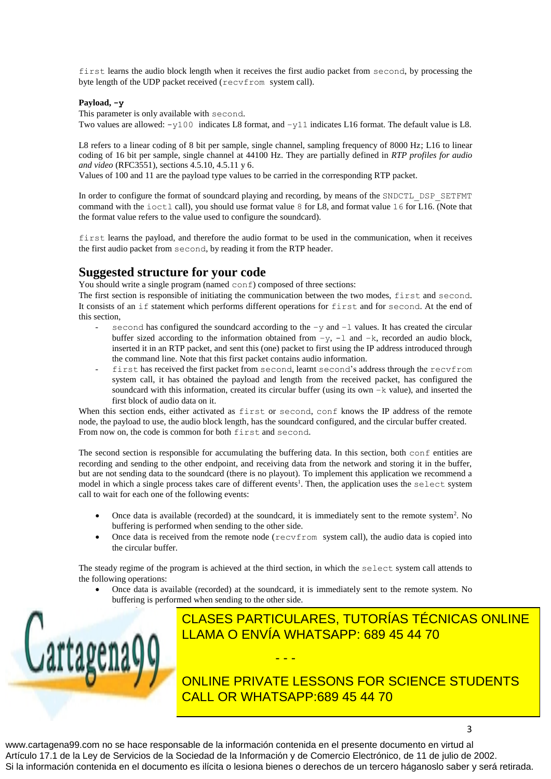first learns the audio block length when it receives the first audio packet from second, by processing the byte length of the UDP packet received (recvfrom system call).

## **Payload, -y**

This parameter is only available with second.

Two values are allowed:  $-y100$  indicates L8 format, and  $-y11$  indicates L16 format. The default value is L8.

L8 refers to a linear coding of 8 bit per sample, single channel, sampling frequency of 8000 Hz; L16 to linear coding of 16 bit per sample, single channel at 44100 Hz. They are partially defined in *RTP profiles for audio and video* (RFC3551), sections 4.5.10, 4.5.11 y 6.

Values of 100 and 11 are the payload type values to be carried in the corresponding RTP packet.

In order to configure the format of soundcard playing and recording, by means of the SNDCTL\_DSP\_SETFMT command with the ioctl call), you should use format value 8 for L8, and format value 16 for L16. (Note that the format value refers to the value used to configure the soundcard).

first learns the payload, and therefore the audio format to be used in the communication, when it receives the first audio packet from second, by reading it from the RTP header.

# **Suggested structure for your code**

You should write a single program (named  $\text{conf}$ ) composed of three sections:

The first section is responsible of initiating the communication between the two modes, first and second. It consists of an if statement which performs different operations for first and for second. At the end of this section,

- second has configured the soundcard according to the  $-y$  and  $-1$  values. It has created the circular buffer sized according to the information obtained from  $-y$ ,  $-1$  and  $-k$ , recorded an audio block, inserted it in an RTP packet, and sent this (one) packet to first using the IP address introduced through the command line. Note that this first packet contains audio information.
- first has received the first packet from second, learnt second's address through the recvfrom system call, it has obtained the payload and length from the received packet, has configured the soundcard with this information, created its circular buffer (using its own  $-k$  value), and inserted the first block of audio data on it.

When this section ends, either activated as first or second, conf knows the IP address of the remote node, the payload to use, the audio block length, has the soundcard configured, and the circular buffer created. From now on, the code is common for both first and second.

The second section is responsible for accumulating the buffering data. In this section, both conf entities are recording and sending to the other endpoint, and receiving data from the network and storing it in the buffer, but are not sending data to the soundcard (there is no playout). To implement this application we recommend a model in which a single process takes care of different events<sup>1</sup>. Then, the application uses the select system call to wait for each one of the following events:

- Once data is available (recorded) at the soundcard, it is immediately sent to the remote system<sup>2</sup>. No buffering is performed when sending to the other side.
- Once data is received from the remote node ( $recv$ from system call), the audio data is copied into the circular buffer.

The steady regime of the program is achieved at the third section, in which the select system call attends to the following operations:

 Once data is available (recorded) at the soundcard, it is immediately sent to the remote system. No buffering is performed when sending to the other side.



# **CLASES PARTICULARES, TUTORÍAS TÉCNICAS ONLINE**  $\text{NFA}$  to the soundcard to the soundcard when the soundcard when the sound  $\text{NFA}$  blocks the soundcard when the sound  $\text{NFA}$  blocks the sound  $\text{NFA}$  blocks the sound of the sound  $\text{NFA}$  blocks the sound of the s **LLAMA O ENVÍA WHATSAPP: 689 45 44 70** - - -

**ONLINE PRIVATE LESSONS FOR SCIENCE STUDENTS** <u>2 Note that the generation of audio data with at constant rate format requires constant time, and the constant time</u>

3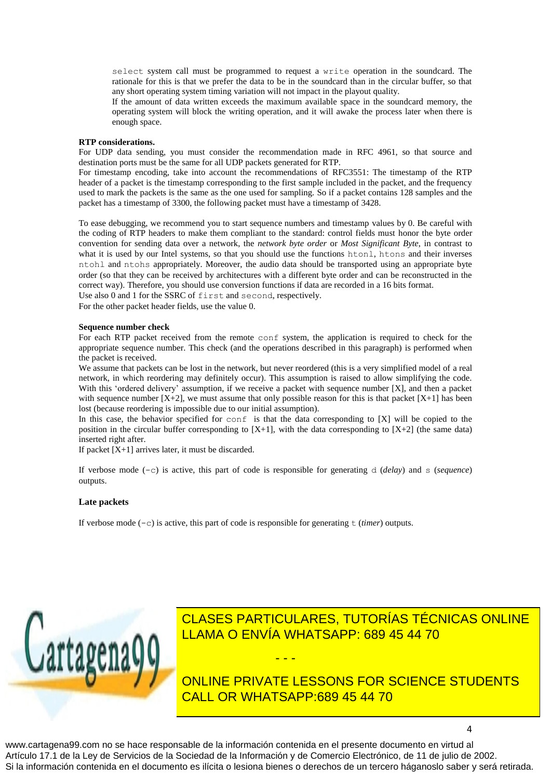select system call must be programmed to request a write operation in the soundcard. The rationale for this is that we prefer the data to be in the soundcard than in the circular buffer, so that any short operating system timing variation will not impact in the playout quality.

If the amount of data written exceeds the maximum available space in the soundcard memory, the operating system will block the writing operation, and it will awake the process later when there is enough space.

### **RTP considerations.**

For UDP data sending, you must consider the recommendation made in RFC 4961, so that source and destination ports must be the same for all UDP packets generated for RTP.

For timestamp encoding, take into account the recommendations of RFC3551: The timestamp of the RTP header of a packet is the timestamp corresponding to the first sample included in the packet, and the frequency used to mark the packets is the same as the one used for sampling. So if a packet contains 128 samples and the packet has a timestamp of 3300, the following packet must have a timestamp of 3428.

To ease debugging, we recommend you to start sequence numbers and timestamp values by 0. Be careful with the coding of RTP headers to make them compliant to the standard: control fields must honor the byte order convention for sending data over a network, the *network byte order* or *Most Significant Byte*, in contrast to what it is used by our Intel systems, so that you should use the functions htonl, htons and their inverses ntohl and ntohs appropriately. Moreover, the audio data should be transported using an appropriate byte order (so that they can be received by architectures with a different byte order and can be reconstructed in the correct way). Therefore, you should use conversion functions if data are recorded in a 16 bits format.

Use also 0 and 1 for the SSRC of first and second, respectively.

For the other packet header fields, use the value 0.

#### **Sequence number check**

For each RTP packet received from the remote conf system, the application is required to check for the appropriate sequence number. This check (and the operations described in this paragraph) is performed when the packet is received.

We assume that packets can be lost in the network, but never reordered (this is a very simplified model of a real network, in which reordering may definitely occur). This assumption is raised to allow simplifying the code. With this 'ordered delivery' assumption, if we receive a packet with sequence number [X], and then a packet with sequence number  $[X+2]$ , we must assume that only possible reason for this is that packet  $[X+1]$  has been lost (because reordering is impossible due to our initial assumption).

In this case, the behavior specified for conf is that the data corresponding to [X] will be copied to the position in the circular buffer corresponding to  $[X+1]$ , with the data corresponding to  $[X+2]$  (the same data) inserted right after.

If packet  $[X+1]$  arrives later, it must be discarded.

If verbose mode (-c) is active, this part of code is responsible for generating d (*delay*) and s (*sequence*) outputs.

## **Late packets**

If verbose mode  $(-c)$  is active, this part of code is responsible for generating  $t$  (*timer*) outputs.



# CLASES PARTICULARES, TUTORÍAS TÉCNICAS ONLINE LLAMA O ENVÍA WHATSAPP: 689 45 44 70

ONLINE PRIVATE LESSONS FOR SCIENCE STUDENTS CALL OR WHATSAPP:689 45 44 70

4

www.cartagena99.com no se hace responsable de la información contenida en el presente documento en virtud al Artículo 17.1 de la Ley de Servicios de la Sociedad de la Información y de Comercio Electrónico, de 11 de julio de 2002. Si la información contenida en el documento es ilícita o lesiona bienes o derechos de un tercero háganoslo saber y será retirada.

- - -